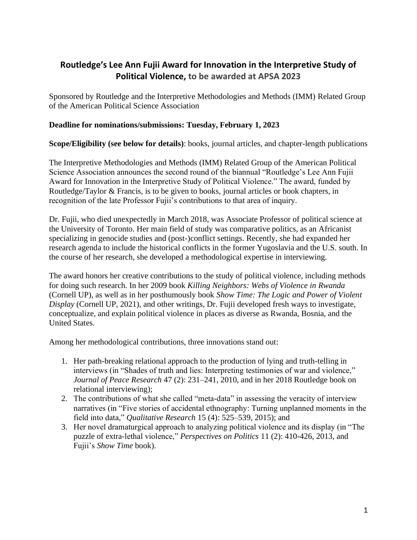## **Routledge's Lee Ann Fujii Award for Innovation in the Interpretive Study of Political Violence, to be awarded at APSA 2023**

Sponsored by Routledge and the Interpretive Methodologies and Methods (IMM) Related Group of the American Political Science Association

## **Deadline for nominations/submissions: Tuesday, February 1, 2023**

**Scope/Eligibility (see below for details)**: books, journal articles, and chapter-length publications

The Interpretive Methodologies and Methods (IMM) Related Group of the American Political Science Association announces the second round of the biannual "Routledge's Lee Ann Fujii Award for Innovation in the Interpretive Study of Political Violence." The award, funded by Routledge/Taylor & Francis, is to be given to books, journal articles or book chapters, in recognition of the late Professor Fujii's contributions to that area of inquiry.

Dr. Fujii, who died unexpectedly in March 2018, was Associate Professor of political science at the University of Toronto. Her main field of study was comparative politics, as an Africanist specializing in genocide studies and (post-)conflict settings. Recently, she had expanded her research agenda to include the historical conflicts in the former Yugoslavia and the U.S. south. In the course of her research, she developed a methodological expertise in interviewing.

The award honors her creative contributions to the study of political violence, including methods for doing such research. In her 2009 book *Killing Neighbors: Webs of Violence in Rwanda*  (Cornell UP)*,* as well as in her posthumously book *Show Time: The Logic and Power of Violent Display* (Cornell UP, 2021)*,* and other writings, Dr. Fujii developed fresh ways to investigate, conceptualize, and explain political violence in places as diverse as Rwanda, Bosnia, and the United States.

Among her methodological contributions, three innovations stand out:

- 1. Her path-breaking relational approach to the production of lying and truth-telling in interviews (in "Shades of truth and lies: Interpreting testimonies of war and violence," *Journal of Peace Research* 47 (2): 231–241, 2010, and in her 2018 Routledge book on relational interviewing);
- 2. The contributions of what she called "meta-data" in assessing the veracity of interview narratives (in "Five stories of accidental ethnography: Turning unplanned moments in the field into data," *Qualitative Research* 15 (4): 525–539, 2015); and
- 3. Her novel dramaturgical approach to analyzing political violence and its display (in "The puzzle of extra-lethal violence," *Perspectives on Politics* 11 (2): 410-426, 2013, and Fujii's *Show Time* book).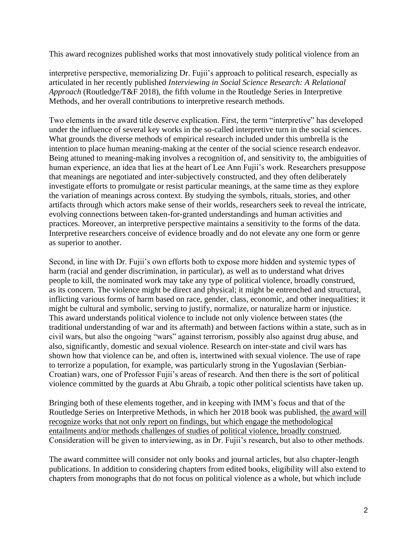This award recognizes published works that most innovatively study political violence from an

interpretive perspective, memorializing Dr. Fujii's approach to political research, especially as articulated in her recently published *Interviewing in Social Science Research: A Relational Approach* (Routledge/T&F 2018), the fifth volume in the Routledge Series in Interpretive Methods, and her overall contributions to interpretive research methods.

Two elements in the award title deserve explication. First, the term "interpretive" has developed under the influence of several key works in the so-called interpretive turn in the social sciences. What grounds the diverse methods of empirical research included under this umbrella is the intention to place human meaning-making at the center of the social science research endeavor. Being attuned to meaning-making involves a recognition of, and sensitivity to, the ambiguities of human experience, an idea that lies at the heart of Lee Ann Fujii's work. Researchers presuppose that meanings are negotiated and inter-subjectively constructed, and they often deliberately investigate efforts to promulgate or resist particular meanings, at the same time as they explore the variation of meanings across context. By studying the symbols, rituals, stories, and other artifacts through which actors make sense of their worlds, researchers seek to reveal the intricate, evolving connections between taken-for-granted understandings and human activities and practices. Moreover, an interpretive perspective maintains a sensitivity to the forms of the data. Interpretive researchers conceive of evidence broadly and do not elevate any one form or genre as superior to another.

Second, in line with Dr. Fujii's own efforts both to expose more hidden and systemic types of harm (racial and gender discrimination, in particular), as well as to understand what drives people to kill, the nominated work may take any type of political violence, broadly construed, as its concern. The violence might be direct and physical; it might be entrenched and structural, inflicting various forms of harm based on race, gender, class, economic, and other inequalities; it might be cultural and symbolic, serving to justify, normalize, or naturalize harm or injustice. This award understands political violence to include not only violence between states (the traditional understanding of war and its aftermath) and between factions within a state, such as in civil wars, but also the ongoing "wars" against terrorism, possibly also against drug abuse, and also, significantly, domestic and sexual violence. Research on inter-state and civil wars has shown how that violence can be, and often is, intertwined with sexual violence. The use of rape to terrorize a population, for example, was particularly strong in the Yugoslavian (Serbian-Croatian) wars, one of Professor Fujii's areas of research. And then there is the sort of political violence committed by the guards at Abu Ghraib, a topic other political scientists have taken up.

Bringing both of these elements together, and in keeping with IMM's focus and that of the Routledge Series on Interpretive Methods, in which her 2018 book was published, the award will recognize works that not only report on findings, but which engage the methodological entailments and/or methods challenges of studies of political violence, broadly construed. Consideration will be given to interviewing, as in Dr. Fujii's research, but also to other methods.

The award committee will consider not only books and journal articles, but also chapter-length publications. In addition to considering chapters from edited books, eligibility will also extend to chapters from monographs that do not focus on political violence as a whole, but which include